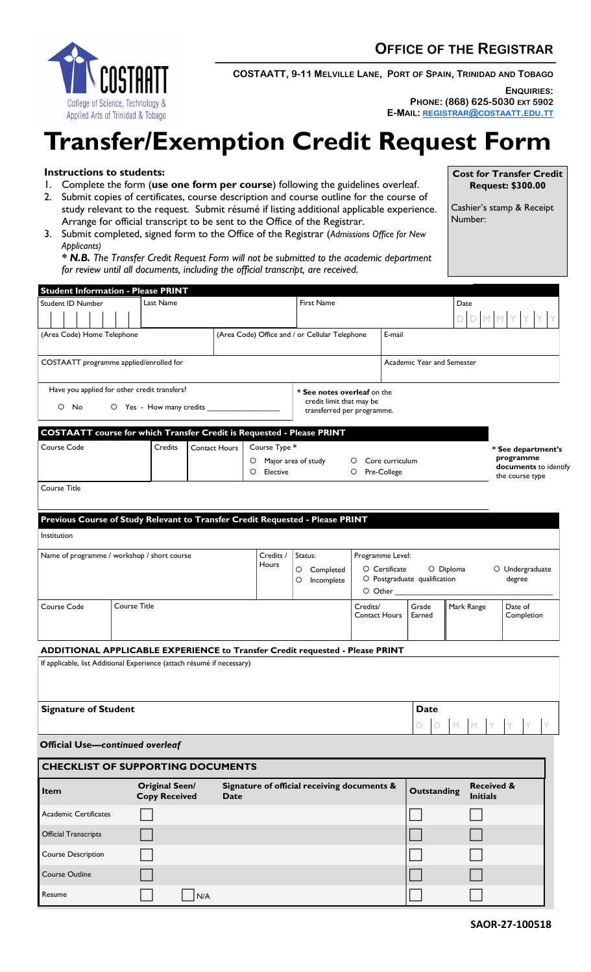

**COSTAATT, 9-11 MELVILLE LANE, PORT OF SPAIN, TRINIDAD AND TOBAGO**

**ENQUIRIES:** 

**Cost for Transfer Credit Request: \$300.00**

Cashier's stamp & Receipt

**PHONE: (868) 625-5030 EXT 5902 E-MAIL: [REGISTRAR](mailto:registrar@costaatt.edu.tt)@COSTAATT.EDU.TT**

Number:

## **Transfer/Exemption Credit Request Form**

**Instructions to students:**

- 1. Complete the form (**use one form per course**) following the guidelines overleaf.
- 2. Submit copies of certificates, course description and course outline for the course of study relevant to the request. Submit résumé if listing additional applicable experience. Arrange for official transcript to be sent to the Office of the Registrar.
- 3. Submit completed, signed form to the Office of the Registrar (*Admissions Office for New Applicants)*

*\* N.B. The Transfer Credit Request Form will not be submitted to the academic department for review until all documents, including the official transcript, are received.*

| <b>Student Information - Please PRINT</b>                                                  |              |                                                |                      |                    |                                                          |                                             |                  |                            |                                        |                       |                 |                                 |  |  |  |  |
|--------------------------------------------------------------------------------------------|--------------|------------------------------------------------|----------------------|--------------------|----------------------------------------------------------|---------------------------------------------|------------------|----------------------------|----------------------------------------|-----------------------|-----------------|---------------------------------|--|--|--|--|
| <b>Student ID Number</b><br>Last Name                                                      |              |                                                |                      | First Name         |                                                          |                                             |                  |                            |                                        |                       | Date            |                                 |  |  |  |  |
|                                                                                            |              |                                                |                      |                    |                                                          |                                             | D.               |                            |                                        |                       |                 |                                 |  |  |  |  |
|                                                                                            |              |                                                |                      |                    |                                                          |                                             |                  |                            |                                        |                       |                 |                                 |  |  |  |  |
| (Area Code) Home Telephone                                                                 |              |                                                |                      |                    | E-mail<br>(Area Code) Office and / or Cellular Telephone |                                             |                  |                            |                                        |                       |                 |                                 |  |  |  |  |
|                                                                                            |              |                                                |                      |                    |                                                          |                                             |                  |                            |                                        |                       |                 |                                 |  |  |  |  |
| COSTAATT programme applied/enrolled for                                                    |              |                                                |                      |                    |                                                          |                                             |                  | Academic Year and Semester |                                        |                       |                 |                                 |  |  |  |  |
|                                                                                            |              |                                                |                      |                    |                                                          |                                             |                  |                            |                                        |                       |                 |                                 |  |  |  |  |
| Have you applied for other credit transfers?<br>* See notes overleaf on the                |              |                                                |                      |                    |                                                          |                                             |                  |                            |                                        |                       |                 |                                 |  |  |  |  |
| credit limit that may be<br>O Yes - How many credits<br>O No<br>transferred per programme. |              |                                                |                      |                    |                                                          |                                             |                  |                            |                                        |                       |                 |                                 |  |  |  |  |
|                                                                                            |              |                                                |                      |                    |                                                          |                                             |                  |                            |                                        |                       |                 |                                 |  |  |  |  |
| <b>COSTAATT</b> course for which Transfer Credit is Requested - Please PRINT               |              |                                                |                      |                    |                                                          |                                             |                  |                            |                                        |                       |                 |                                 |  |  |  |  |
|                                                                                            |              | <b>Credits</b>                                 | <b>Contact Hours</b> |                    |                                                          |                                             |                  |                            |                                        |                       |                 |                                 |  |  |  |  |
|                                                                                            | Course Code  |                                                |                      |                    | Course Type *                                            |                                             |                  |                            |                                        |                       |                 | * See department's<br>programme |  |  |  |  |
|                                                                                            |              |                                                |                      | $\circ$<br>$\circ$ | Elective                                                 | Major area of study                         | O                | Core curriculum            |                                        | documents to identify |                 |                                 |  |  |  |  |
|                                                                                            |              |                                                |                      |                    |                                                          |                                             | O<br>Pre-College |                            |                                        |                       | the course type |                                 |  |  |  |  |
| Course Title                                                                               |              |                                                |                      |                    |                                                          |                                             |                  |                            |                                        |                       |                 |                                 |  |  |  |  |
|                                                                                            |              |                                                |                      |                    |                                                          |                                             |                  |                            |                                        |                       |                 |                                 |  |  |  |  |
| Previous Course of Study Relevant to Transfer Credit Requested - Please PRINT              |              |                                                |                      |                    |                                                          |                                             |                  |                            |                                        |                       |                 |                                 |  |  |  |  |
|                                                                                            |              |                                                |                      |                    |                                                          |                                             |                  |                            |                                        |                       |                 |                                 |  |  |  |  |
| Institution                                                                                |              |                                                |                      |                    |                                                          |                                             |                  |                            |                                        |                       |                 |                                 |  |  |  |  |
| Name of programme / workshop / short course                                                |              |                                                |                      |                    | Credits /                                                | Status:                                     |                  | Programme Level:           |                                        |                       |                 |                                 |  |  |  |  |
|                                                                                            |              |                                                |                      |                    | Hours                                                    |                                             | O Certificate    |                            | O Diploma                              |                       | O Undergraduate |                                 |  |  |  |  |
|                                                                                            |              |                                                |                      |                    |                                                          | O<br>Completed<br>Incomplete<br>O           |                  |                            | O Postgraduate qualification<br>degree |                       |                 |                                 |  |  |  |  |
|                                                                                            |              |                                                |                      |                    |                                                          |                                             |                  | $\circ$ Other $\_$         |                                        |                       |                 |                                 |  |  |  |  |
| Course Code                                                                                | Course Title |                                                |                      |                    |                                                          |                                             | Credits/         |                            | Mark Range<br>Grade                    |                       |                 | Date of                         |  |  |  |  |
|                                                                                            |              |                                                |                      |                    |                                                          | <b>Contact Hours</b>                        |                  | Earned                     |                                        |                       | Completion      |                                 |  |  |  |  |
|                                                                                            |              |                                                |                      |                    |                                                          |                                             |                  |                            |                                        |                       |                 |                                 |  |  |  |  |
|                                                                                            |              |                                                |                      |                    |                                                          |                                             |                  |                            |                                        |                       |                 |                                 |  |  |  |  |
| ADDITIONAL APPLICABLE EXPERIENCE to Transfer Credit requested - Please PRINT               |              |                                                |                      |                    |                                                          |                                             |                  |                            |                                        |                       |                 |                                 |  |  |  |  |
| If applicable, list Additional Experience (attach résumé if necessary)                     |              |                                                |                      |                    |                                                          |                                             |                  |                            |                                        |                       |                 |                                 |  |  |  |  |
|                                                                                            |              |                                                |                      |                    |                                                          |                                             |                  |                            |                                        |                       |                 |                                 |  |  |  |  |
|                                                                                            |              |                                                |                      |                    |                                                          |                                             |                  |                            |                                        |                       |                 |                                 |  |  |  |  |
| <b>Signature of Student</b>                                                                |              |                                                |                      |                    |                                                          |                                             |                  | <b>Date</b>                |                                        |                       |                 |                                 |  |  |  |  |
|                                                                                            |              |                                                |                      |                    |                                                          |                                             |                  |                            |                                        |                       |                 |                                 |  |  |  |  |
|                                                                                            |              |                                                |                      |                    |                                                          |                                             |                  |                            | D<br>D                                 | M                     | M               | Y                               |  |  |  |  |
| <b>Official Use-continued overleaf</b>                                                     |              |                                                |                      |                    |                                                          |                                             |                  |                            |                                        |                       |                 |                                 |  |  |  |  |
|                                                                                            |              |                                                |                      |                    |                                                          |                                             |                  |                            |                                        |                       |                 |                                 |  |  |  |  |
| <b>CHECKLIST OF SUPPORTING DOCUMENTS</b>                                                   |              |                                                |                      |                    |                                                          |                                             |                  |                            |                                        |                       |                 |                                 |  |  |  |  |
| Item                                                                                       |              | Original Seen/<br><b>Copy Received</b><br>Date |                      |                    |                                                          | Signature of official receiving documents & |                  |                            | <b>Outstanding</b><br><b>Initials</b>  |                       |                 | <b>Received &amp;</b>           |  |  |  |  |
| Academic Certificates                                                                      |              |                                                |                      |                    |                                                          |                                             |                  |                            |                                        |                       |                 |                                 |  |  |  |  |
| <b>Official Transcripts</b>                                                                |              |                                                |                      |                    |                                                          |                                             |                  |                            |                                        |                       |                 |                                 |  |  |  |  |
| <b>Course Description</b>                                                                  |              |                                                |                      |                    |                                                          |                                             |                  |                            |                                        |                       |                 |                                 |  |  |  |  |
| Course Outline                                                                             |              |                                                |                      |                    |                                                          |                                             |                  |                            |                                        |                       |                 |                                 |  |  |  |  |
| Resume                                                                                     |              |                                                | N/A                  |                    |                                                          |                                             |                  |                            |                                        |                       |                 |                                 |  |  |  |  |
|                                                                                            |              |                                                |                      |                    |                                                          |                                             |                  |                            |                                        |                       |                 |                                 |  |  |  |  |